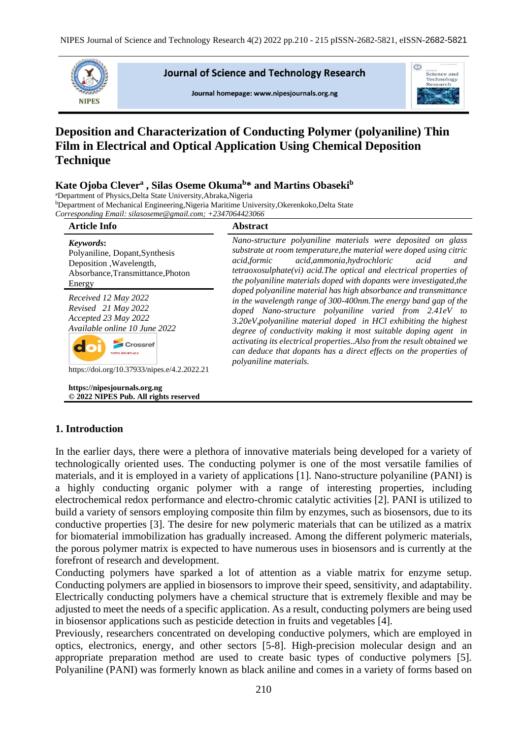

**Journal of Science and Technology Research** 

Journal homepage: www.nipesjournals.org.ng



# **Deposition and Characterization of Conducting Polymer (polyaniline) Thin Film in Electrical and Optical Application Using Chemical Deposition Technique**

#### **Kate Ojoba Clever<sup>a</sup> , Silas Oseme Okuma<sup>b</sup>\* and Martins Obaseki<sup>b</sup>**

<sup>a</sup>Department of Physics,Delta State University,Abraka,Nigeria

<sup>b</sup>Department of Mechanical Engineering,Nigeria Maritime University,Okerenkoko,Delta State *Corresponding Email: silasoseme@gmail.com; +2347064423066*

| <b>Article Info</b>                                                                                                                                                                                                                       | <b>Abstract</b>                                                                                                                                                                                                                                                                                                                                                                                                                                                                                                      |  |  |
|-------------------------------------------------------------------------------------------------------------------------------------------------------------------------------------------------------------------------------------------|----------------------------------------------------------------------------------------------------------------------------------------------------------------------------------------------------------------------------------------------------------------------------------------------------------------------------------------------------------------------------------------------------------------------------------------------------------------------------------------------------------------------|--|--|
| Keywords:<br>Polyaniline, Dopant, Synthesis<br>Deposition, Wavelength,<br>Absorbance, Transmittance, Photon<br>Energy                                                                                                                     | Nano-structure polyaniline materials were deposited on glass<br>substrate at room temperature, the material were doped using citric<br>acid,ammonia,hydrochloric<br><i>acid,formic</i><br>acid<br>and<br>tetraoxosulphate(vi) acid. The optical and electrical properties of<br>the polyaniline materials doped with dopants were investigated, the                                                                                                                                                                  |  |  |
| Received 12 May 2022<br>Revised 21 May 2022<br>Accepted 23 May 2022<br>Available online 10 June 2022<br>Crossref<br>https://doi.org/10.37933/nipes.e/4.2.2022.21<br>https://nipesjournals.org.ng<br>© 2022 NIPES Pub. All rights reserved | doped polyaniline material has high absorbance and transmittance<br>in the wavelength range of 300-400nm. The energy band gap of the<br>doped Nano-structure polyaniline varied from 2.41eV to<br>3.20eV, polyaniline material doped in HCl exhibiting the highest<br>degree of conductivity making it most suitable doping agent in<br>activating its electrical properties. Also from the result obtained we<br>can deduce that dopants has a direct effects on the properties of<br><i>polyaniline materials.</i> |  |  |

#### **1. Introduction**

In the earlier days, there were a plethora of innovative materials being developed for a variety of technologically oriented uses. The conducting polymer is one of the most versatile families of materials, and it is employed in a variety of applications [1]. Nano-structure polyaniline (PANI) is a highly conducting organic polymer with a range of interesting properties, including electrochemical redox performance and electro-chromic catalytic activities [2]. PANI is utilized to build a variety of sensors employing composite thin film by enzymes, such as biosensors, due to its conductive properties [3]. The desire for new polymeric materials that can be utilized as a matrix for biomaterial immobilization has gradually increased. Among the different polymeric materials, the porous polymer matrix is expected to have numerous uses in biosensors and is currently at the forefront of research and development.

Conducting polymers have sparked a lot of attention as a viable matrix for enzyme setup. Conducting polymers are applied in biosensors to improve their speed, sensitivity, and adaptability. Electrically conducting polymers have a chemical structure that is extremely flexible and may be adjusted to meet the needs of a specific application. As a result, conducting polymers are being used in biosensor applications such as pesticide detection in fruits and vegetables [4].

Previously, researchers concentrated on developing conductive polymers, which are employed in optics, electronics, energy, and other sectors [5-8]. High-precision molecular design and an appropriate preparation method are used to create basic types of conductive polymers [5]. Polyaniline (PANI) was formerly known as black aniline and comes in a variety of forms based on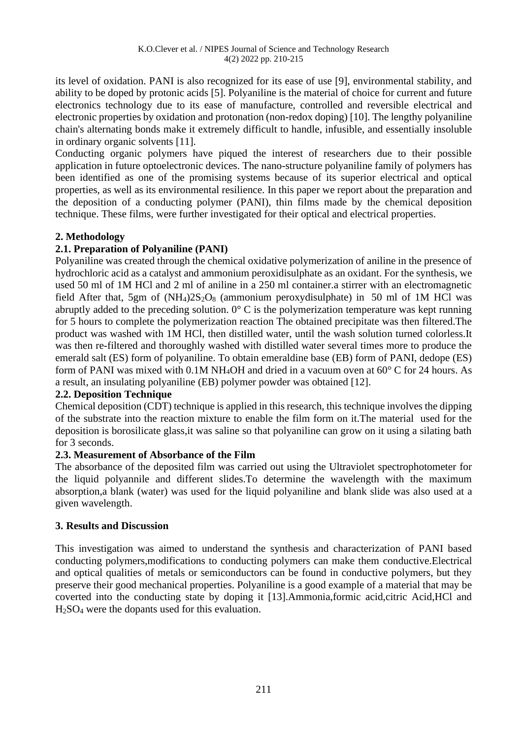its level of oxidation. PANI is also recognized for its ease of use [9], environmental stability, and ability to be doped by protonic acids [5]. Polyaniline is the material of choice for current and future electronics technology due to its ease of manufacture, controlled and reversible electrical and electronic properties by oxidation and protonation (non-redox doping) [10]. The lengthy polyaniline chain's alternating bonds make it extremely difficult to handle, infusible, and essentially insoluble in ordinary organic solvents [11].

Conducting organic polymers have piqued the interest of researchers due to their possible application in future optoelectronic devices. The nano-structure polyaniline family of polymers has been identified as one of the promising systems because of its superior electrical and optical properties, as well as its environmental resilience. In this paper we report about the preparation and the deposition of a conducting polymer (PANI), thin films made by the chemical deposition technique. These films, were further investigated for their optical and electrical properties.

## **2. Methodology**

## **2.1. Preparation of Polyaniline (PANI)**

Polyaniline was created through the chemical oxidative polymerization of aniline in the presence of hydrochloric acid as a catalyst and ammonium peroxidisulphate as an oxidant. For the synthesis, we used 50 ml of 1M HCl and 2 ml of aniline in a 250 ml container.a stirrer with an electromagnetic field After that, 5gm of  $(NH_4)2S_2O_8$  (ammonium peroxydisulphate) in 50 ml of 1M HCl was abruptly added to the preceding solution.  $0^{\circ}$  C is the polymerization temperature was kept running for 5 hours to complete the polymerization reaction The obtained precipitate was then filtered.The product was washed with 1M HCl, then distilled water, until the wash solution turned colorless.It was then re-filtered and thoroughly washed with distilled water several times more to produce the emerald salt (ES) form of polyaniline. To obtain emeraldine base (EB) form of PANI, dedope (ES) form of PANI was mixed with 0.1M NH4OH and dried in a vacuum oven at 60° C for 24 hours. As a result, an insulating polyaniline (EB) polymer powder was obtained [12].

## **2.2. Deposition Technique**

Chemical deposition (CDT) technique is applied in this research, this technique involves the dipping of the substrate into the reaction mixture to enable the film form on it.The material used for the deposition is borosilicate glass,it was saline so that polyaniline can grow on it using a silating bath for 3 seconds.

## **2.3. Measurement of Absorbance of the Film**

The absorbance of the deposited film was carried out using the Ultraviolet spectrophotometer for the liquid polyannile and different slides.To determine the wavelength with the maximum absorption,a blank (water) was used for the liquid polyaniline and blank slide was also used at a given wavelength.

## **3. Results and Discussion**

This investigation was aimed to understand the synthesis and characterization of PANI based conducting polymers,modifications to conducting polymers can make them conductive.Electrical and optical qualities of metals or semiconductors can be found in conductive polymers, but they preserve their good mechanical properties. Polyaniline is a good example of a material that may be coverted into the conducting state by doping it [13].Ammonia,formic acid,citric Acid,HCl and H2SO<sup>4</sup> were the dopants used for this evaluation.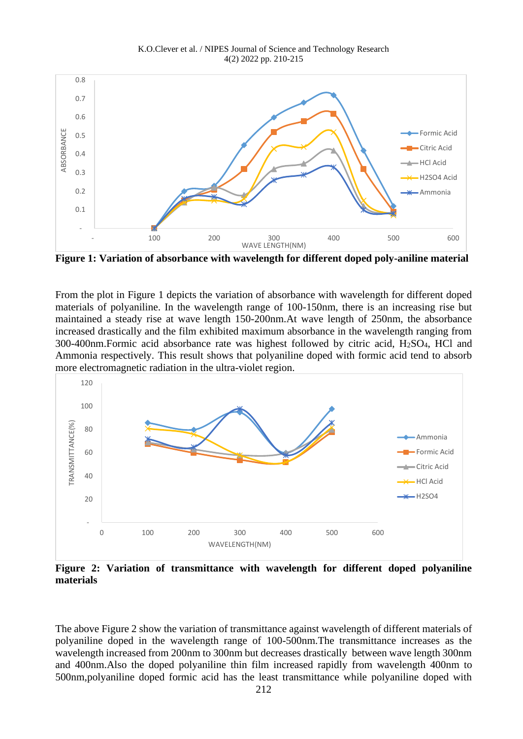

**Figure 1: Variation of absorbance with wavelength for different doped poly-aniline material**

From the plot in Figure 1 depicts the variation of absorbance with wavelength for different doped materials of polyaniline. In the wavelength range of 100-150nm, there is an increasing rise but maintained a steady rise at wave length 150-200nm.At wave length of 250nm, the absorbance increased drastically and the film exhibited maximum absorbance in the wavelength ranging from 300-400nm.Formic acid absorbance rate was highest followed by citric acid, H2SO4, HCl and Ammonia respectively. This result shows that polyaniline doped with formic acid tend to absorb more electromagnetic radiation in the ultra-violet region.



**Figure 2: Variation of transmittance with wavelength for different doped polyaniline materials**

The above Figure 2 show the variation of transmittance against wavelength of different materials of polyaniline doped in the wavelength range of 100-500nm.The transmittance increases as the wavelength increased from 200nm to 300nm but decreases drastically between wave length 300nm and 400nm.Also the doped polyaniline thin film increased rapidly from wavelength 400nm to 500nm,polyaniline doped formic acid has the least transmittance while polyaniline doped with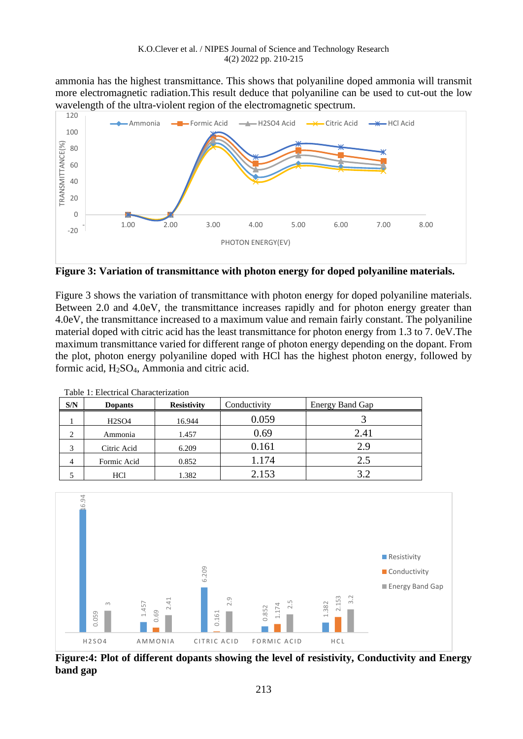ammonia has the highest transmittance. This shows that polyaniline doped ammonia will transmit more electromagnetic radiation.This result deduce that polyaniline can be used to cut-out the low wavelength of the ultra-violent region of the electromagnetic spectrum.



**Figure 3: Variation of transmittance with photon energy for doped polyaniline materials.**

Figure 3 shows the variation of transmittance with photon energy for doped polyaniline materials. Between 2.0 and 4.0eV, the transmittance increases rapidly and for photon energy greater than 4.0eV, the transmittance increased to a maximum value and remain fairly constant. The polyaniline material doped with citric acid has the least transmittance for photon energy from 1.3 to 7. 0eV.The maximum transmittance varied for different range of photon energy depending on the dopant. From the plot, photon energy polyaniline doped with HCl has the highest photon energy, followed by formic acid, H2SO4, Ammonia and citric acid.

| Table 1: Electrical Characterization |                   |                    |              |                        |  |
|--------------------------------------|-------------------|--------------------|--------------|------------------------|--|
| S/N                                  | <b>D</b> opants   | <b>Resistivity</b> | Conductivity | <b>Energy Band Gap</b> |  |
|                                      | H2SO <sub>4</sub> | 16.944             | 0.059        |                        |  |
| ∍                                    | Ammonia           | 1.457              | 0.69         | 2.41                   |  |
| 3                                    | Citric Acid       | 6.209              | 0.161        | 2.9                    |  |
| $\overline{4}$                       | Formic Acid       | 0.852              | 1.174        | 2.5                    |  |
|                                      | HCl               | 1.382              | 2.153        |                        |  |



**Figure:4: Plot of different dopants showing the level of resistivity, Conductivity and Energy band gap**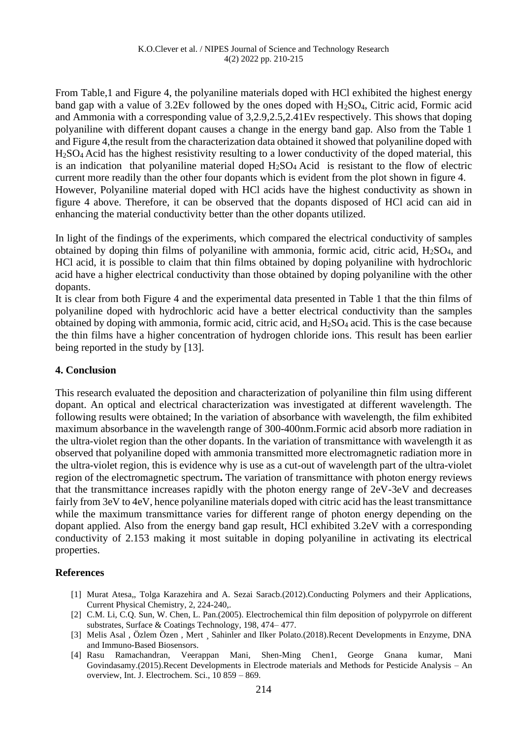From Table,1 and Figure 4, the polyaniline materials doped with HCl exhibited the highest energy band gap with a value of 3.2Ev followed by the ones doped with  $H_2SO_4$ , Citric acid, Formic acid and Ammonia with a corresponding value of 3,2.9,2.5,2.41Ev respectively. This shows that doping polyaniline with different dopant causes a change in the energy band gap. Also from the Table 1 and Figure 4,the result from the characterization data obtained it showed that polyaniline doped with H2SO4 Acid has the highest resistivity resulting to a lower conductivity of the doped material, this is an indication that polyaniline material doped  $H_2SO_4$  Acid is resistant to the flow of electric current more readily than the other four dopants which is evident from the plot shown in figure 4. However, Polyaniline material doped with HCl acids have the highest conductivity as shown in figure 4 above. Therefore, it can be observed that the dopants disposed of HCl acid can aid in enhancing the material conductivity better than the other dopants utilized.

In light of the findings of the experiments, which compared the electrical conductivity of samples obtained by doping thin films of polyaniline with ammonia, formic acid, citric acid,  $H<sub>2</sub>SO<sub>4</sub>$ , and HCl acid, it is possible to claim that thin films obtained by doping polyaniline with hydrochloric acid have a higher electrical conductivity than those obtained by doping polyaniline with the other dopants.

It is clear from both Figure 4 and the experimental data presented in Table 1 that the thin films of polyaniline doped with hydrochloric acid have a better electrical conductivity than the samples obtained by doping with ammonia, formic acid, citric acid, and  $H<sub>2</sub>SO<sub>4</sub>$  acid. This is the case because the thin films have a higher concentration of hydrogen chloride ions. This result has been earlier being reported in the study by [13].

#### **4. Conclusion**

This research evaluated the deposition and characterization of polyaniline thin film using different dopant. An optical and electrical characterization was investigated at different wavelength. The following results were obtained; In the variation of absorbance with wavelength, the film exhibited maximum absorbance in the wavelength range of 300-400nm.Formic acid absorb more radiation in the ultra-violet region than the other dopants. In the variation of transmittance with wavelength it as observed that polyaniline doped with ammonia transmitted more electromagnetic radiation more in the ultra-violet region, this is evidence why is use as a cut-out of wavelength part of the ultra-violet region of the electromagnetic spectrum**.** The variation of transmittance with photon energy reviews that the transmittance increases rapidly with the photon energy range of 2eV-3eV and decreases fairly from 3eV to 4eV, hence polyaniline materials doped with citric acid has the least transmittance while the maximum transmittance varies for different range of photon energy depending on the dopant applied. Also from the energy band gap result, HCl exhibited 3.2eV with a corresponding conductivity of 2.153 making it most suitable in doping polyaniline in activating its electrical properties.

#### **References**

- [1] Murat Atesa,, Tolga Karazehira and A. Sezai Saracb.(2012).Conducting Polymers and their Applications, Current Physical Chemistry, 2, 224-240,.
- [2] C.M. Li, C.Q. Sun, W. Chen, L. Pan.(2005). Electrochemical thin film deposition of polypyrrole on different substrates, Surface & Coatings Technology, 198, 474– 477.
- [3] Melis Asal , Özlem Özen , Mert ¸ Sahinler and Ilker Polato.(2018).Recent Developments in Enzyme, DNA and Immuno-Based Biosensors.
- [4] Rasu Ramachandran, Veerappan Mani, Shen-Ming Chen1, George Gnana kumar, Mani Govindasamy.(2015).Recent Developments in Electrode materials and Methods for Pesticide Analysis – An overview, Int. J. Electrochem. Sci., 10 859 – 869.